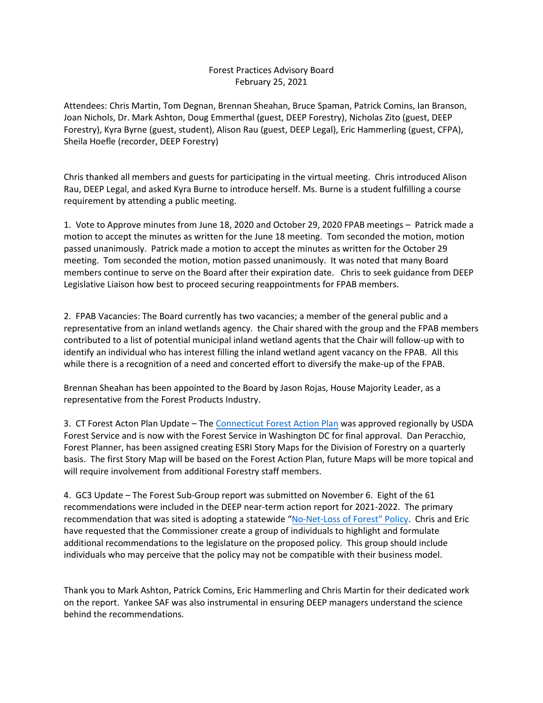#### Forest Practices Advisory Board February 25, 2021

Attendees: Chris Martin, Tom Degnan, Brennan Sheahan, Bruce Spaman, Patrick Comins, Ian Branson, Joan Nichols, Dr. Mark Ashton, Doug Emmerthal (guest, DEEP Forestry), Nicholas Zito (guest, DEEP Forestry), Kyra Byrne (guest, student), Alison Rau (guest, DEEP Legal), Eric Hammerling (guest, CFPA), Sheila Hoefle (recorder, DEEP Forestry)

Chris thanked all members and guests for participating in the virtual meeting. Chris introduced Alison Rau, DEEP Legal, and asked Kyra Burne to introduce herself. Ms. Burne is a student fulfilling a course requirement by attending a public meeting.

1. Vote to Approve minutes from June 18, 2020 and October 29, 2020 FPAB meetings – Patrick made a motion to accept the minutes as written for the June 18 meeting. Tom seconded the motion, motion passed unanimously. Patrick made a motion to accept the minutes as written for the October 29 meeting. Tom seconded the motion, motion passed unanimously. It was noted that many Board members continue to serve on the Board after their expiration date. Chris to seek guidance from DEEP Legislative Liaison how best to proceed securing reappointments for FPAB members.

2. FPAB Vacancies: The Board currently has two vacancies; a member of the general public and a representative from an inland wetlands agency. the Chair shared with the group and the FPAB members contributed to a list of potential municipal inland wetland agents that the Chair will follow-up with to identify an individual who has interest filling the inland wetland agent vacancy on the FPAB. All this while there is a recognition of a need and concerted effort to diversify the make-up of the FPAB.

Brennan Sheahan has been appointed to the Board by Jason Rojas, House Majority Leader, as a representative from the Forest Products Industry.

3. CT Forest Acton Plan Update – The [Connecticut Forest Action](https://portal.ct.gov/-/media/DEEP/forestry/2020-CT-Forest-Action-Plan-FINAL-Submitted-for-Approval.pdf) Plan was approved regionally by USDA Forest Service and is now with the Forest Service in Washington DC for final approval. Dan Peracchio, Forest Planner, has been assigned creating ESRI Story Maps for the Division of Forestry on a quarterly basis. The first Story Map will be based on the Forest Action Plan, future Maps will be more topical and will require involvement from additional Forestry staff members.

4. GC3 Update – The Forest Sub-Group report was submitted on November 6. Eight of the 61 recommendations were included in the DEEP near-term action report for 2021-2022. The primary recommendation that was sited is adopting a statewide ["No-Net-Loss of Forest"](https://portal.ct.gov/-/media/DEEP/climatechange/GC3/GC3-working-group-reports/GC3_WNL_Forests_Final_Report_110620.pdf) Policy. Chris and Eric have requested that the Commissioner create a group of individuals to highlight and formulate additional recommendations to the legislature on the proposed policy. This group should include individuals who may perceive that the policy may not be compatible with their business model.

Thank you to Mark Ashton, Patrick Comins, Eric Hammerling and Chris Martin for their dedicated work on the report. Yankee SAF was also instrumental in ensuring DEEP managers understand the science behind the recommendations.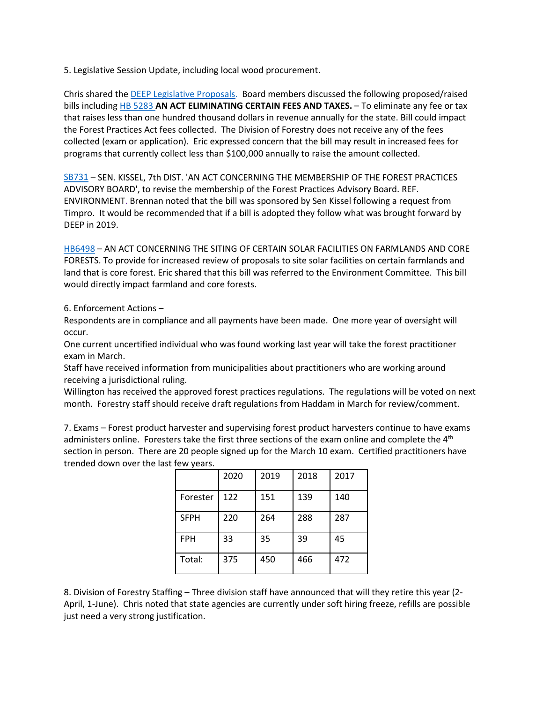5. Legislative Session Update, including local wood procurement.

Chris shared the [DEEP Legislative Proposals.](https://portal.ct.gov/-/media/OPM/Budget/Legislative-Proposals-2021/DEP---Full-Packet.pdf) Board members discussed the following proposed/raised bills including [HB 5283](https://search.cga.state.ct.us/r/basic/dtsearch.asp?cmd=getdoc&DocId=1124&Index=I%3a%5czindex%5c2021&HitCount=2&hits=6+bf+&hc=2&req=5283&Item=0) **AN ACT ELIMINATING CERTAIN FEES AND TAXES.** – To eliminate any fee or tax that raises less than one hundred thousand dollars in revenue annually for the state. Bill could impact the Forest Practices Act fees collected. The Division of Forestry does not receive any of the fees collected (exam or application). Eric expressed concern that the bill may result in increased fees for programs that currently collect less than \$100,000 annually to raise the amount collected.

[SB731](https://search.cga.state.ct.us/r/adv/dtsearch.asp?cmd=getdoc&DocId=3529&Index=I%3a%5czindex%5c2021&HitCount=8&hits=20+21+42+43+4f+50+81+82+&hc=8&req=forest+practices&Item=0) – SEN. KISSEL, 7th DIST. 'AN ACT CONCERNING THE MEMBERSHIP OF THE FOREST PRACTICES ADVISORY BOARD', to revise the membership of the Forest Practices Advisory Board. REF. ENVIRONMENT. Brennan noted that the bill was sponsored by Sen Kissel following a request from Timpro. It would be recommended that if a bill is adopted they follow what was brought forward by DEEP in 2019.

[HB6498](https://www.cga.ct.gov/asp/cgabillstatus/cgabillstatus.asp?selBillType=Bill&which_year=2021&bill_num=6498) – AN ACT CONCERNING THE SITING OF CERTAIN SOLAR FACILITIES ON FARMLANDS AND CORE FORESTS. To provide for increased review of proposals to site solar facilities on certain farmlands and land that is core forest. Eric shared that this bill was referred to the Environment Committee. This bill would directly impact farmland and core forests.

6. Enforcement Actions –

Respondents are in compliance and all payments have been made. One more year of oversight will occur.

One current uncertified individual who was found working last year will take the forest practitioner exam in March.

Staff have received information from municipalities about practitioners who are working around receiving a jurisdictional ruling.

Willington has received the approved forest practices regulations. The regulations will be voted on next month. Forestry staff should receive draft regulations from Haddam in March for review/comment.

7. Exams – Forest product harvester and supervising forest product harvesters continue to have exams administers online. Foresters take the first three sections of the exam online and complete the 4<sup>th</sup> section in person. There are 20 people signed up for the March 10 exam. Certified practitioners have trended down over the last few years.

|             | 2020 | 2019 | 2018 | 2017 |
|-------------|------|------|------|------|
| Forester    | 122  | 151  | 139  | 140  |
| <b>SFPH</b> | 220  | 264  | 288  | 287  |
| <b>FPH</b>  | 33   | 35   | 39   | 45   |
| Total:      | 375  | 450  | 466  | 472  |

8. Division of Forestry Staffing – Three division staff have announced that will they retire this year (2- April, 1-June). Chris noted that state agencies are currently under soft hiring freeze, refills are possible just need a very strong justification.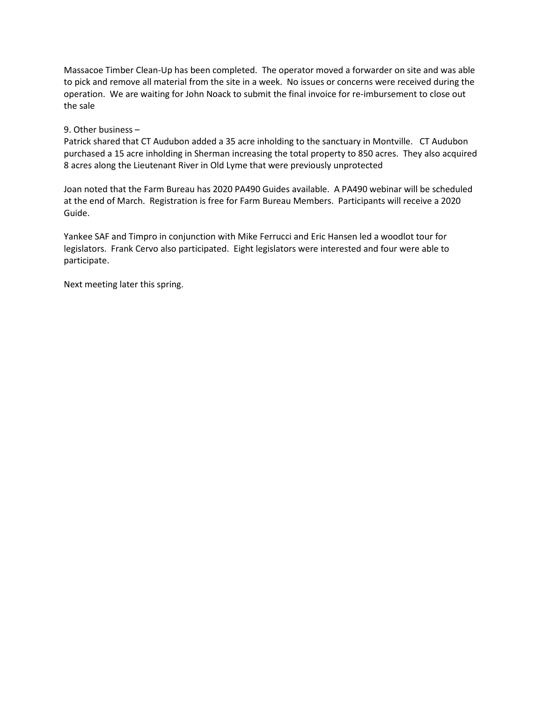Massacoe Timber Clean-Up has been completed. The operator moved a forwarder on site and was able to pick and remove all material from the site in a week. No issues or concerns were received during the operation. We are waiting for John Noack to submit the final invoice for re-imbursement to close out the sale

#### 9. Other business –

Patrick shared that CT Audubon added a 35 acre inholding to the sanctuary in Montville. CT Audubon purchased a 15 acre inholding in Sherman increasing the total property to 850 acres. They also acquired 8 acres along the Lieutenant River in Old Lyme that were previously unprotected

Joan noted that the Farm Bureau has 2020 PA490 Guides available. A PA490 webinar will be scheduled at the end of March. Registration is free for Farm Bureau Members. Participants will receive a 2020 Guide.

Yankee SAF and Timpro in conjunction with Mike Ferrucci and Eric Hansen led a woodlot tour for legislators. Frank Cervo also participated. Eight legislators were interested and four were able to participate.

Next meeting later this spring.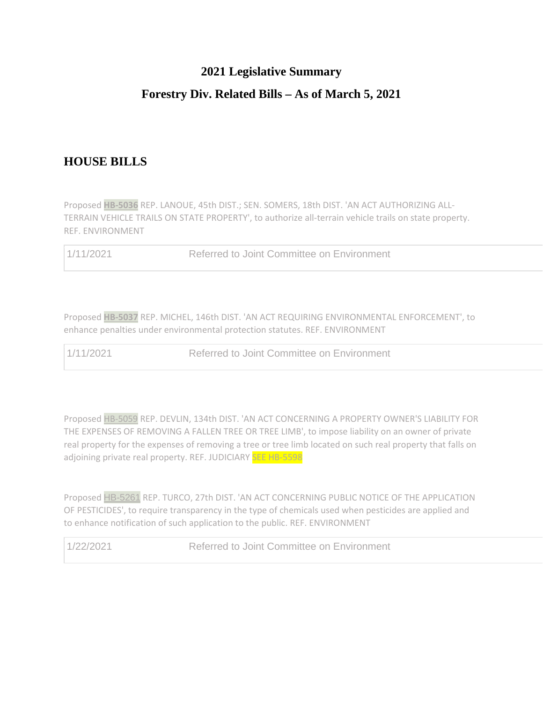#### **2021 Legislative Summary**

## **Forestry Div. Related Bills – As of March 5, 2021**

# **HOUSE BILLS**

Proposed **[HB-5036](https://www.cga.ct.gov/BSTAT.ASP?b=HB-5036&u=william.foreman@ct.gov&y=2021)** REP. LANOUE, 45th DIST.; SEN. SOMERS, 18th DIST. 'AN ACT AUTHORIZING ALL-TERRAIN VEHICLE TRAILS ON STATE PROPERTY', to authorize all-terrain vehicle trails on state property. REF. ENVIRONMENT

1/11/2021 Referred to Joint Committee on Environment

Proposed **[HB-5037](https://www.cga.ct.gov/BSTAT.ASP?b=HB-5037&u=william.foreman@ct.gov&y=2021)** REP. MICHEL, 146th DIST. 'AN ACT REQUIRING ENVIRONMENTAL ENFORCEMENT', to enhance penalties under environmental protection statutes. REF. ENVIRONMENT

1/11/2021 Referred to Joint Committee on Environment

Proposed [HB-5059](https://www.cga.ct.gov/BSTAT.ASP?b=HB-5059&u=william.foreman@ct.gov&y=2021) REP. DEVLIN, 134th DIST. 'AN ACT CONCERNING A PROPERTY OWNER'S LIABILITY FOR THE EXPENSES OF REMOVING A FALLEN TREE OR TREE LIMB', to impose liability on an owner of private real property for the expenses of removing a tree or tree limb located on such real property that falls on adjoining private real property. REF. JUDICIARY SEE HB-5598

Proposed [HB-5261](https://www.cga.ct.gov/BSTAT.ASP?b=HB-5261&u=william.foreman@ct.gov&y=2021) REP. TURCO, 27th DIST. 'AN ACT CONCERNING PUBLIC NOTICE OF THE APPLICATION OF PESTICIDES', to require transparency in the type of chemicals used when pesticides are applied and to enhance notification of such application to the public. REF. ENVIRONMENT

1/22/2021 Referred to Joint Committee on Environment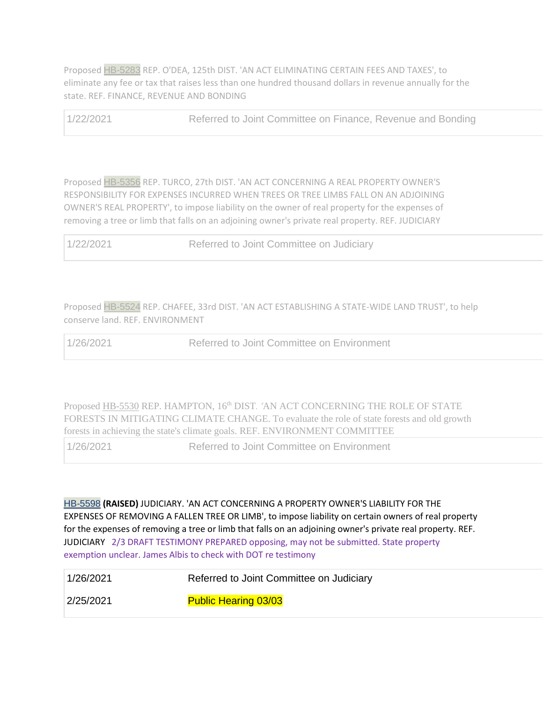Proposed [HB-5283](https://www.cga.ct.gov/BSTAT.ASP?b=HB-5283&u=william.foreman@ct.gov&y=2021) REP. O'DEA, 125th DIST. 'AN ACT ELIMINATING CERTAIN FEES AND TAXES', to eliminate any fee or tax that raises less than one hundred thousand dollars in revenue annually for the state. REF. FINANCE, REVENUE AND BONDING

1/22/2021 Referred to Joint Committee on Finance, Revenue and Bonding

Proposed [HB-5356](https://www.cga.ct.gov/BSTAT.ASP?b=HB-5356&u=william.foreman@ct.gov&y=2021) REP. TURCO, 27th DIST. 'AN ACT CONCERNING A REAL PROPERTY OWNER'S RESPONSIBILITY FOR EXPENSES INCURRED WHEN TREES OR TREE LIMBS FALL ON AN ADJOINING OWNER'S REAL PROPERTY', to impose liability on the owner of real property for the expenses of removing a tree or limb that falls on an adjoining owner's private real property. REF. JUDICIARY

| 1/22/2021 | Referred to Joint Committee on Judiciary |
|-----------|------------------------------------------|
|-----------|------------------------------------------|

Proposed [HB-5524](https://www.cga.ct.gov/BSTAT.ASP?b=HB-5524&u=william.foreman@ct.gov&y=2021) REP. CHAFEE, 33rd DIST. 'AN ACT ESTABLISHING A STATE-WIDE LAND TRUST', to help conserve land. REF. ENVIRONMENT

1/26/2021 Referred to Joint Committee on Environment

Propose[d HB-5530](https://www.cga.ct.gov/asp/cgabillstatus/cgabillstatus.asp?selBillType=Bill&which_year=2021&bill_num=5530) REP. HAMPTON, 16th DIST*. '*AN ACT CONCERNING THE ROLE OF STATE FORESTS IN MITIGATING CLIMATE CHANGE. To evaluate the role of state forests and old growth forests in achieving the state's climate goals. REF. ENVIRONMENT COMMITTEE

1/26/2021 Referred to Joint Committee on Environment

[HB-5598](https://www.cga.ct.gov/BSTAT.ASP?b=HB-5598&u=william.foreman@ct.gov&y=2021) **(RAISED)** JUDICIARY. 'AN ACT CONCERNING A PROPERTY OWNER'S LIABILITY FOR THE EXPENSES OF REMOVING A FALLEN TREE OR LIMB', to impose liability on certain owners of real property for the expenses of removing a tree or limb that falls on an adjoining owner's private real property. REF. JUDICIARY 2/3 DRAFT TESTIMONY PREPARED opposing, may not be submitted. State property exemption unclear. James Albis to check with DOT re testimony

| 1/26/2021 | Referred to Joint Committee on Judiciary |
|-----------|------------------------------------------|
| 2/25/2021 | <b>Public Hearing 03/03</b>              |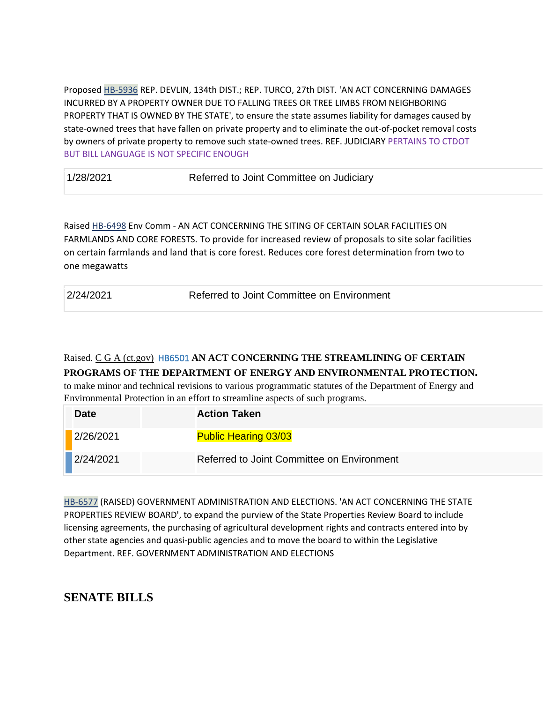Proposed [HB-5936](https://www.cga.ct.gov/BSTAT.ASP?b=HB-5936&u=william.foreman@ct.gov&y=2021) REP. DEVLIN, 134th DIST.; REP. TURCO, 27th DIST. 'AN ACT CONCERNING DAMAGES INCURRED BY A PROPERTY OWNER DUE TO FALLING TREES OR TREE LIMBS FROM NEIGHBORING PROPERTY THAT IS OWNED BY THE STATE', to ensure the state assumes liability for damages caused by state-owned trees that have fallen on private property and to eliminate the out-of-pocket removal costs by owners of private property to remove such state-owned trees. REF. JUDICIARY PERTAINS TO CTDOT BUT BILL LANGUAGE IS NOT SPECIFIC ENOUGH

1/28/2021 Referred to Joint Committee on Judiciary

Raised [HB-6498](https://www.cga.ct.gov/asp/cgabillstatus/cgabillstatus.asp?selBillType=Bill&which_year=2021&bill_num=6498) Env Comm - AN ACT CONCERNING THE SITING OF CERTAIN SOLAR FACILITIES ON FARMLANDS AND CORE FORESTS. To provide for increased review of proposals to site solar facilities on certain farmlands and land that is core forest. Reduces core forest determination from two to one megawatts

2/24/2021 Referred to Joint Committee on Environment

Raised. [C G A \(ct.gov\)](https://www.cga.ct.gov/asp/cgabillstatus/cgabillstatus.asp?selBillType=Bill&bill_num=HB06501&which_year=2021) HB6501 **AN ACT CONCERNING THE STREAMLINING OF CERTAIN PROGRAMS OF THE DEPARTMENT OF ENERGY AND ENVIRONMENTAL PROTECTION.**

to make minor and technical revisions to various programmatic statutes of the Department of Energy and Environmental Protection in an effort to streamline aspects of such programs.

| <b>Date</b> | <b>Action Taken</b>                        |
|-------------|--------------------------------------------|
| 2/26/2021   | <b>Public Hearing 03/03</b>                |
| 2/24/2021   | Referred to Joint Committee on Environment |

[HB-6577](https://www.cga.ct.gov/BSTAT.ASP?b=HB-6577&u=william.foreman@ct.gov&y=2021) (RAISED) GOVERNMENT ADMINISTRATION AND ELECTIONS. 'AN ACT CONCERNING THE STATE PROPERTIES REVIEW BOARD', to expand the purview of the State Properties Review Board to include licensing agreements, the purchasing of agricultural development rights and contracts entered into by other state agencies and quasi-public agencies and to move the board to within the Legislative Department. REF. GOVERNMENT ADMINISTRATION AND ELECTIONS

## **SENATE BILLS**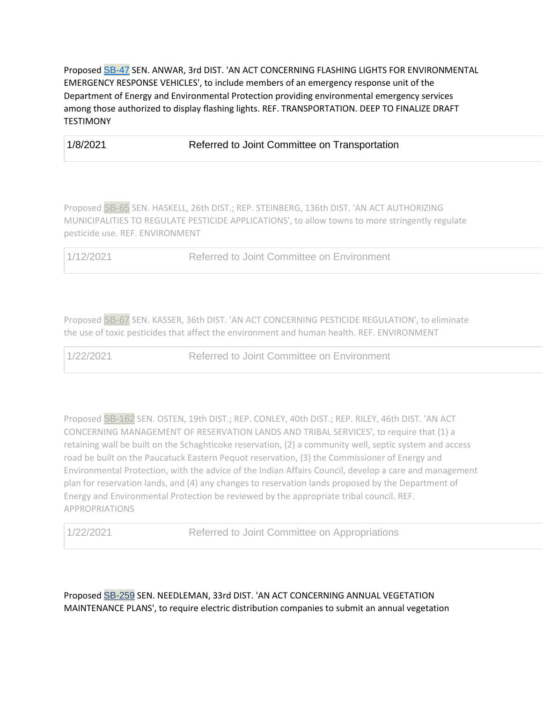Proposed [SB-47](https://www.cga.ct.gov/BSTAT.ASP?b=SB-47&u=william.foreman@ct.gov&y=2021) SEN. ANWAR, 3rd DIST. 'AN ACT CONCERNING FLASHING LIGHTS FOR ENVIRONMENTAL EMERGENCY RESPONSE VEHICLES', to include members of an emergency response unit of the Department of Energy and Environmental Protection providing environmental emergency services among those authorized to display flashing lights. REF. TRANSPORTATION. DEEP TO FINALIZE DRAFT **TESTIMONY** 

1/8/2021 Referred to Joint Committee on Transportation

Proposed [SB-65](https://www.cga.ct.gov/BSTAT.ASP?b=SB-65&u=william.foreman@ct.gov&y=2021) SEN. HASKELL, 26th DIST.; REP. STEINBERG, 136th DIST. 'AN ACT AUTHORIZING MUNICIPALITIES TO REGULATE PESTICIDE APPLICATIONS', to allow towns to more stringently regulate pesticide use. REF. ENVIRONMENT

1/12/2021 Referred to Joint Committee on Environment

Proposed [SB-67](https://www.cga.ct.gov/BSTAT.ASP?b=SB-67&u=william.foreman@ct.gov&y=2021) SEN. KASSER, 36th DIST. 'AN ACT CONCERNING PESTICIDE REGULATION', to eliminate the use of toxic pesticides that affect the environment and human health. REF. ENVIRONMENT

1/22/2021 Referred to Joint Committee on Environment

Proposed [SB-162](https://www.cga.ct.gov/BSTAT.ASP?b=SB-162&u=william.foreman@ct.gov&y=2021) SEN. OSTEN, 19th DIST.; REP. CONLEY, 40th DIST.; REP. RILEY, 46th DIST. 'AN ACT CONCERNING MANAGEMENT OF RESERVATION LANDS AND TRIBAL SERVICES', to require that (1) a retaining wall be built on the Schaghticoke reservation, (2) a community well, septic system and access road be built on the Paucatuck Eastern Pequot reservation, (3) the Commissioner of Energy and Environmental Protection, with the advice of the Indian Affairs Council, develop a care and management plan for reservation lands, and (4) any changes to reservation lands proposed by the Department of Energy and Environmental Protection be reviewed by the appropriate tribal council. REF. APPROPRIATIONS

1/22/2021 Referred to Joint Committee on Appropriations

Proposed [SB-259](https://www.cga.ct.gov/BSTAT.ASP?b=SB-259&u=william.foreman@ct.gov&y=2021) SEN. NEEDLEMAN, 33rd DIST. 'AN ACT CONCERNING ANNUAL VEGETATION MAINTENANCE PLANS', to require electric distribution companies to submit an annual vegetation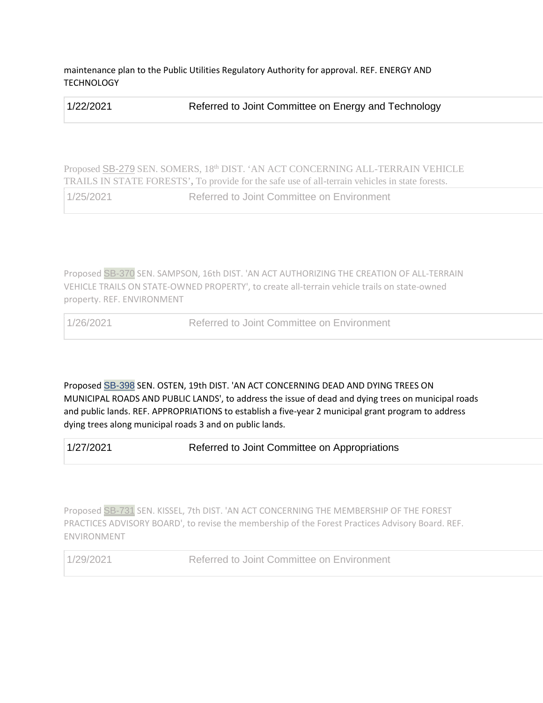maintenance plan to the Public Utilities Regulatory Authority for approval. REF. ENERGY AND **TECHNOLOGY** 

| 1/22/2021 | Referred to Joint Committee on Energy and Technology |
|-----------|------------------------------------------------------|
|-----------|------------------------------------------------------|

Proposed [SB-279](https://www.cga.ct.gov/asp/cgabillstatus/cgabillstatus.asp?selBillType=Bill&bill_num=SB00279&which_year=2021) SEN. SOMERS, 18th DIST. 'AN ACT CONCERNING ALL-TERRAIN VEHICLE TRAILS IN STATE FORESTS'**,** To provide for the safe use of all-terrain vehicles in state forests.

1/25/2021 Referred to Joint Committee on Environment

Proposed [SB-370](https://www.cga.ct.gov/BSTAT.ASP?b=SB-370&u=william.foreman@ct.gov&y=2021) SEN. SAMPSON, 16th DIST. 'AN ACT AUTHORIZING THE CREATION OF ALL-TERRAIN VEHICLE TRAILS ON STATE-OWNED PROPERTY', to create all-terrain vehicle trails on state-owned property. REF. ENVIRONMENT

1/26/2021 Referred to Joint Committee on Environment

Proposed [SB-398](https://www.cga.ct.gov/BSTAT.ASP?b=SB-398&u=william.foreman@ct.gov&y=2021) SEN. OSTEN, 19th DIST. 'AN ACT CONCERNING DEAD AND DYING TREES ON MUNICIPAL ROADS AND PUBLIC LANDS', to address the issue of dead and dying trees on municipal roads and public lands. REF. APPROPRIATIONS to establish a five-year 2 municipal grant program to address dying trees along municipal roads 3 and on public lands.

1/27/2021 Referred to Joint Committee on Appropriations

Proposed [SB-731](https://www.cga.ct.gov/BSTAT.ASP?b=SB-731&u=william.foreman@ct.gov&y=2021) SEN. KISSEL, 7th DIST. 'AN ACT CONCERNING THE MEMBERSHIP OF THE FOREST PRACTICES ADVISORY BOARD', to revise the membership of the Forest Practices Advisory Board. REF. ENVIRONMENT

1/29/2021 Referred to Joint Committee on Environment